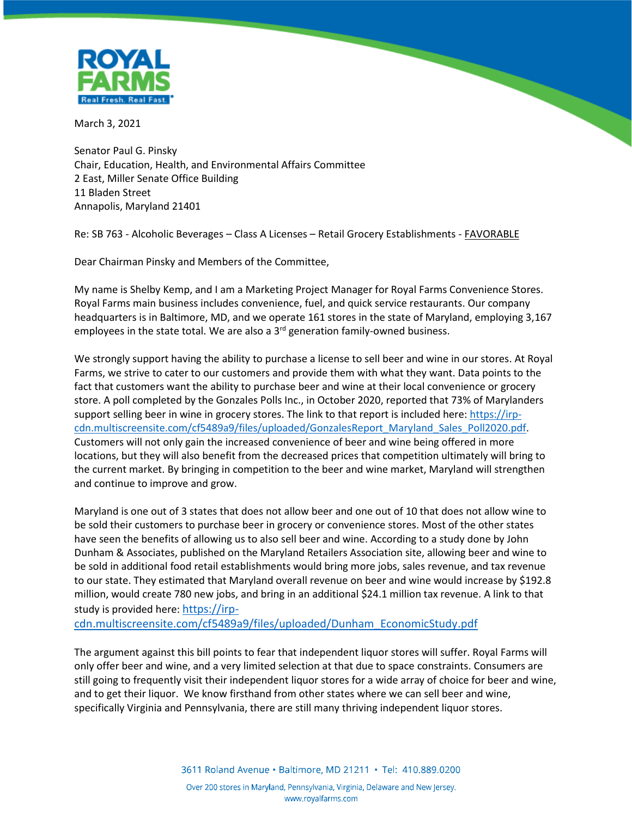

March 3, 2021

Senator Paul G. Pinsky Chair, Education, Health, and Environmental Affairs Committee 2 East, Miller Senate Office Building 11 Bladen Street Annapolis, Maryland 21401

Re: SB 763 - Alcoholic Beverages – Class A Licenses – Retail Grocery Establishments - FAVORABLE

Dear Chairman Pinsky and Members of the Committee,

My name is Shelby Kemp, and I am a Marketing Project Manager for Royal Farms Convenience Stores. Royal Farms main business includes convenience, fuel, and quick service restaurants. Our company headquarters is in Baltimore, MD, and we operate 161 stores in the state of Maryland, employing 3,167 employees in the state total. We are also a  $3<sup>rd</sup>$  generation family-owned business.

We strongly support having the ability to purchase a license to sell beer and wine in our stores. At Royal Farms, we strive to cater to our customers and provide them with what they want. Data points to the fact that customers want the ability to purchase beer and wine at their local convenience or grocery store. A poll completed by the Gonzales Polls Inc., in October 2020, reported that 73% of Marylanders support selling beer in wine in grocery stores. The link to that report is included here: [https://irp](https://irp-cdn.multiscreensite.com/cf5489a9/files/uploaded/GonzalesReport_Maryland_Sales_Poll2020.pdf)[cdn.multiscreensite.com/cf5489a9/files/uploaded/GonzalesReport\\_Maryland\\_Sales\\_Poll2020.pdf.](https://irp-cdn.multiscreensite.com/cf5489a9/files/uploaded/GonzalesReport_Maryland_Sales_Poll2020.pdf) Customers will not only gain the increased convenience of beer and wine being offered in more locations, but they will also benefit from the decreased prices that competition ultimately will bring to the current market. By bringing in competition to the beer and wine market, Maryland will strengthen and continue to improve and grow.

Maryland is one out of 3 states that does not allow beer and one out of 10 that does not allow wine to be sold their customers to purchase beer in grocery or convenience stores. Most of the other states have seen the benefits of allowing us to also sell beer and wine. According to a study done by John Dunham & Associates, published on the Maryland Retailers Association site, allowing beer and wine to be sold in additional food retail establishments would bring more jobs, sales revenue, and tax revenue to our state. They estimated that Maryland overall revenue on beer and wine would increase by \$192.8 million, would create 780 new jobs, and bring in an additional \$24.1 million tax revenue. A link to that study is provided here: [https://irp-](https://irp-cdn.multiscreensite.com/cf5489a9/files/uploaded/Dunham_EconomicStudy.pdf)

[cdn.multiscreensite.com/cf5489a9/files/uploaded/Dunham\\_EconomicStudy.pdf](https://irp-cdn.multiscreensite.com/cf5489a9/files/uploaded/Dunham_EconomicStudy.pdf)

The argument against this bill points to fear that independent liquor stores will suffer. Royal Farms will only offer beer and wine, and a very limited selection at that due to space constraints. Consumers are still going to frequently visit their independent liquor stores for a wide array of choice for beer and wine, and to get their liquor. We know firsthand from other states where we can sell beer and wine, specifically Virginia and Pennsylvania, there are still many thriving independent liquor stores.

3611 Roland Avenue · Baltimore, MD 21211 · Tel: 410.889.0200

Over 200 stores in Maryland, Pennsylvania, Virginia, Delaware and New Jersey. www.royalfarms.com